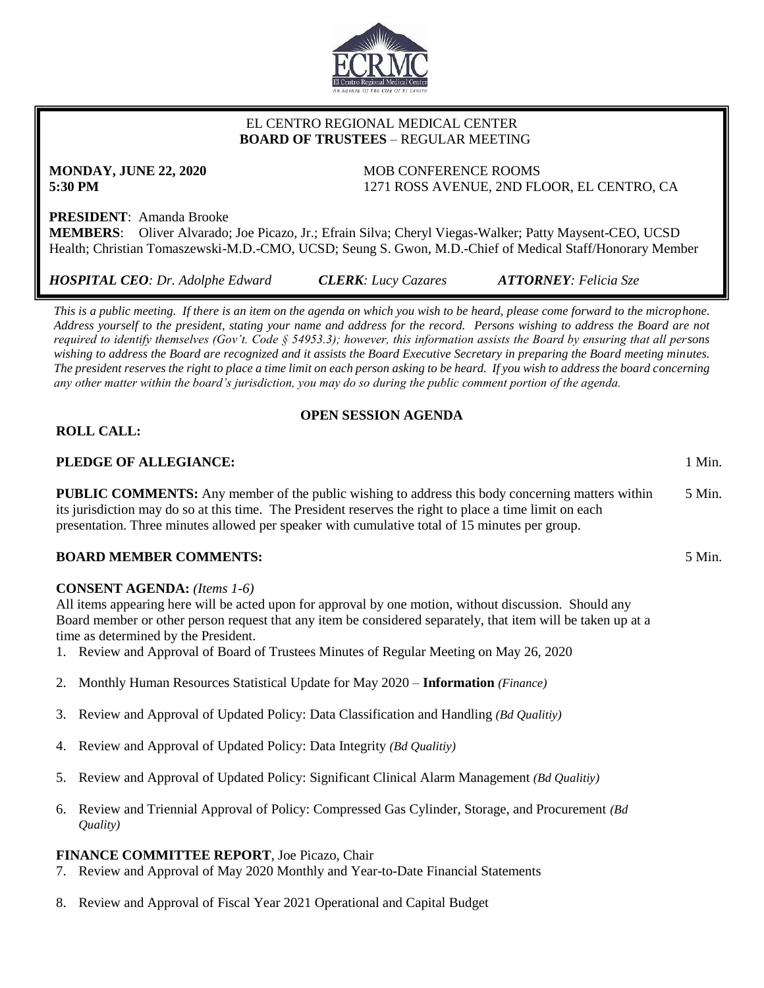

## EL CENTRO REGIONAL MEDICAL CENTER  **BOARD OF TRUSTEES** – REGULAR MEETING

**MONDAY, JUNE 22, 2020** MOB CONFERENCE ROOMS **5:30 PM** 1271 ROSS AVENUE, 2ND FLOOR, EL CENTRO, CA

# **PRESIDENT**: Amanda Brooke

**MEMBERS**: Oliver Alvarado; Joe Picazo, Jr.; Efrain Silva; Cheryl Viegas-Walker; Patty Maysent-CEO, UCSD Health; Christian Tomaszewski-M.D.-CMO, UCSD; Seung S. Gwon, M.D.-Chief of Medical Staff/Honorary Member

*HOSPITAL CEO: Dr. Adolphe Edward CLERK: Lucy Cazares ATTORNEY: Felicia Sze*

*This is a public meeting. If there is an item on the agenda on which you wish to be heard, please come forward to the microphone. Address yourself to the president, stating your name and address for the record. Persons wishing to address the Board are not required to identify themselves (Gov't. Code § 54953.3); however, this information assists the Board by ensuring that all persons wishing to address the Board are recognized and it assists the Board Executive Secretary in preparing the Board meeting minutes. The president reserves the right to place a time limit on each person asking to be heard. If you wish to address the board concerning any other matter within the board's jurisdiction, you may do so during the public comment portion of the agenda.*

## **OPEN SESSION AGENDA**

## **ROLL CALL:**

## **PLEDGE OF ALLEGIANCE:** 1 Min.

**PUBLIC COMMENTS:** Any member of the public wishing to address this body concerning matters within its jurisdiction may do so at this time. The President reserves the right to place a time limit on each presentation. Three minutes allowed per speaker with cumulative total of 15 minutes per group. 5 Min.

#### **BOARD MEMBER COMMENTS:** 5 Min.

#### **CONSENT AGENDA:** *(Items 1-6)*

All items appearing here will be acted upon for approval by one motion, without discussion. Should any Board member or other person request that any item be considered separately, that item will be taken up at a time as determined by the President.

- 1. Review and Approval of Board of Trustees Minutes of Regular Meeting on May 26, 2020
- 2. Monthly Human Resources Statistical Update for May 2020 **Information** *(Finance)*
- 3. Review and Approval of Updated Policy: Data Classification and Handling *(Bd Qualitiy)*
- 4. Review and Approval of Updated Policy: Data Integrity *(Bd Qualitiy)*
- 5. Review and Approval of Updated Policy: Significant Clinical Alarm Management *(Bd Qualitiy)*
- 6. Review and Triennial Approval of Policy: Compressed Gas Cylinder, Storage, and Procurement *(Bd Quality)*

#### **FINANCE COMMITTEE REPORT**, Joe Picazo, Chair

- 7. Review and Approval of May 2020 Monthly and Year-to-Date Financial Statements
- 8. Review and Approval of Fiscal Year 2021 Operational and Capital Budget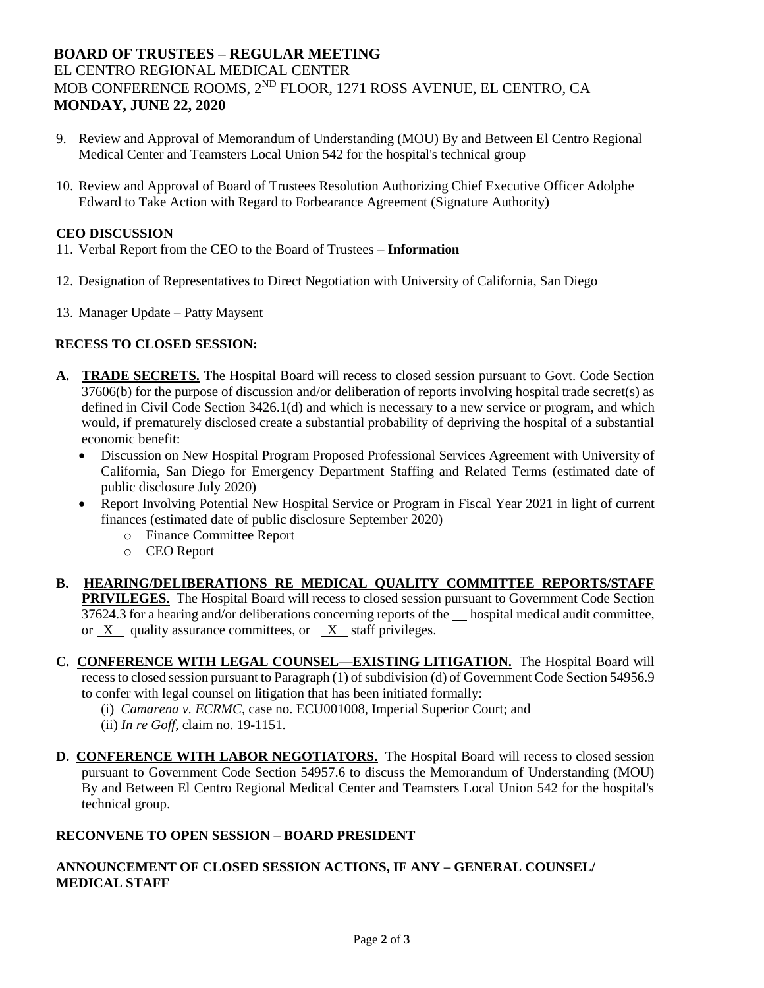# **BOARD OF TRUSTEES – REGULAR MEETING** EL CENTRO REGIONAL MEDICAL CENTER MOB CONFERENCE ROOMS, 2ND FLOOR, 1271 ROSS AVENUE, EL CENTRO, CA **MONDAY, JUNE 22, 2020**

- 9. Review and Approval of Memorandum of Understanding (MOU) By and Between El Centro Regional Medical Center and Teamsters Local Union 542 for the hospital's technical group
- 10. Review and Approval of Board of Trustees Resolution Authorizing Chief Executive Officer Adolphe Edward to Take Action with Regard to Forbearance Agreement (Signature Authority)

## **CEO DISCUSSION**

- 11. Verbal Report from the CEO to the Board of Trustees **Information**
- 12. Designation of Representatives to Direct Negotiation with University of California, San Diego
- 13. Manager Update Patty Maysent

## **RECESS TO CLOSED SESSION:**

- **A. TRADE SECRETS.** The Hospital Board will recess to closed session pursuant to Govt. Code Section 37606(b) for the purpose of discussion and/or deliberation of reports involving hospital trade secret(s) as defined in Civil Code Section 3426.1(d) and which is necessary to a new service or program, and which would, if prematurely disclosed create a substantial probability of depriving the hospital of a substantial economic benefit:
	- Discussion on New Hospital Program Proposed Professional Services Agreement with University of California, San Diego for Emergency Department Staffing and Related Terms (estimated date of public disclosure July 2020)
	- Report Involving Potential New Hospital Service or Program in Fiscal Year 2021 in light of current finances (estimated date of public disclosure September 2020)
		- o Finance Committee Report
		- o CEO Report
- **B. HEARING/DELIBERATIONS RE MEDICAL QUALITY COMMITTEE REPORTS/STAFF PRIVILEGES.** The Hospital Board will recess to closed session pursuant to Government Code Section 37624.3 for a hearing and/or deliberations concerning reports of the hospital medical audit committee, or X quality assurance committees, or X staff privileges.
- **C. CONFERENCE WITH LEGAL COUNSEL—EXISTING LITIGATION.** The Hospital Board will recess to closed session pursuant to Paragraph (1) of subdivision (d) of Government Code Section 54956.9 to confer with legal counsel on litigation that has been initiated formally:
	- (i) *Camarena v. ECRMC*, case no. ECU001008, Imperial Superior Court; and
	- (ii) *In re Goff*, claim no. 19-1151.
- **D. CONFERENCE WITH LABOR NEGOTIATORS.** The Hospital Board will recess to closed session pursuant to Government Code Section 54957.6 to discuss the Memorandum of Understanding (MOU) By and Between El Centro Regional Medical Center and Teamsters Local Union 542 for the hospital's technical group.

#### **RECONVENE TO OPEN SESSION – BOARD PRESIDENT**

## **ANNOUNCEMENT OF CLOSED SESSION ACTIONS, IF ANY – GENERAL COUNSEL/ MEDICAL STAFF**